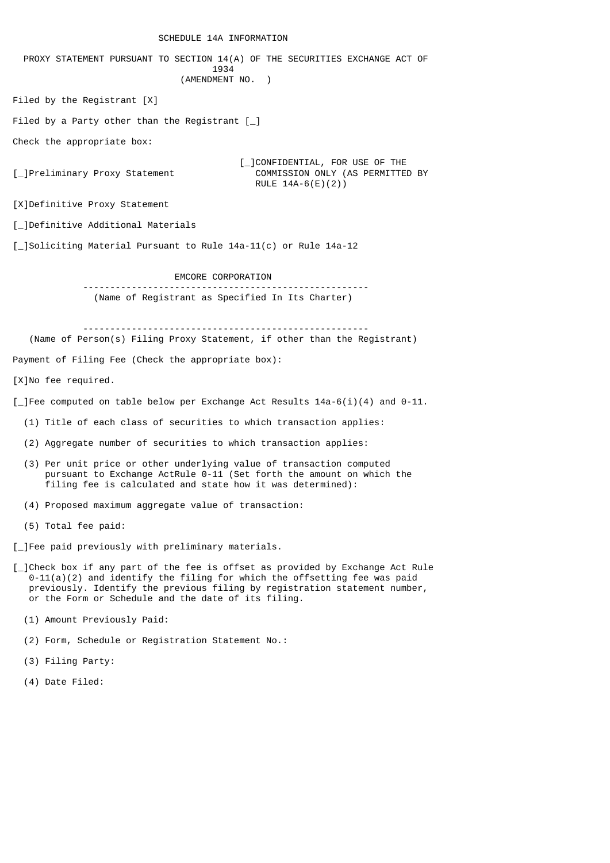### SCHEDULE 14A INFORMATION

 PROXY STATEMENT PURSUANT TO SECTION 14(A) OF THE SECURITIES EXCHANGE ACT OF 1934 (AMENDMENT NO. ) Filed by the Registrant [X] Filed by a Party other than the Registrant  $\lceil \_ \rceil$ Check the appropriate box: [\_]Preliminary Proxy Statement [\_]CONFIDENTIAL, FOR USE OF THE<br>COMMISSION ONLY (AS PERMITTEL COMMISSION ONLY (AS PERMITTED BY RULE 14A-6(E)(2)) [X]Definitive Proxy Statement [\_]Definitive Additional Materials [\_]Soliciting Material Pursuant to Rule 14a-11(c) or Rule 14a-12 EMCORE CORPORATION ----------------------------------------------------- (Name of Registrant as Specified In Its Charter) ----------------------------------------------------- (Name of Person(s) Filing Proxy Statement, if other than the Registrant) Payment of Filing Fee (Check the appropriate box): [X]No fee required. [ ]Fee computed on table below per Exchange Act Results  $14a-6(i)(4)$  and  $0-11$ . (1) Title of each class of securities to which transaction applies: (2) Aggregate number of securities to which transaction applies: (3) Per unit price or other underlying value of transaction computed pursuant to Exchange ActRule 0-11 (Set forth the amount on which the filing fee is calculated and state how it was determined): (4) Proposed maximum aggregate value of transaction: (5) Total fee paid: [ ]Fee paid previously with preliminary materials.

- [\_]Check box if any part of the fee is offset as provided by Exchange Act Rule  $0-11(a)(2)$  and identify the filing for which the offsetting fee was paid previously. Identify the previous filing by registration statement number, or the Form or Schedule and the date of its filing.
	- (1) Amount Previously Paid:
	- (2) Form, Schedule or Registration Statement No.:
	- (3) Filing Party:
	- (4) Date Filed: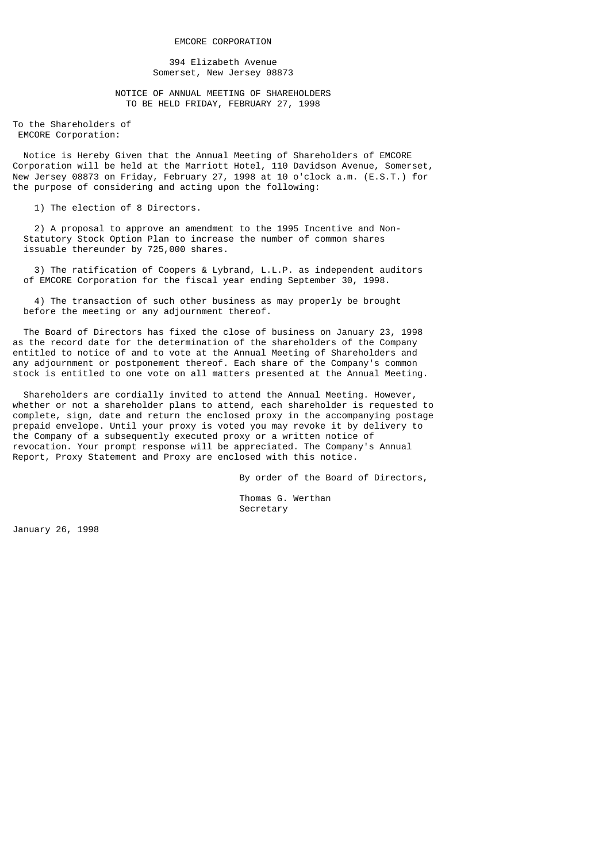394 Elizabeth Avenue Somerset, New Jersey 08873

 NOTICE OF ANNUAL MEETING OF SHAREHOLDERS TO BE HELD FRIDAY, FEBRUARY 27, 1998

To the Shareholders of EMCORE Corporation:

 Notice is Hereby Given that the Annual Meeting of Shareholders of EMCORE Corporation will be held at the Marriott Hotel, 110 Davidson Avenue, Somerset, New Jersey 08873 on Friday, February 27, 1998 at 10 o'clock a.m. (E.S.T.) for the purpose of considering and acting upon the following:

1) The election of 8 Directors.

 2) A proposal to approve an amendment to the 1995 Incentive and Non- Statutory Stock Option Plan to increase the number of common shares issuable thereunder by 725,000 shares.

 3) The ratification of Coopers & Lybrand, L.L.P. as independent auditors of EMCORE Corporation for the fiscal year ending September 30, 1998.

 4) The transaction of such other business as may properly be brought before the meeting or any adjournment thereof.

 The Board of Directors has fixed the close of business on January 23, 1998 as the record date for the determination of the shareholders of the Company entitled to notice of and to vote at the Annual Meeting of Shareholders and any adjournment or postponement thereof. Each share of the Company's common stock is entitled to one vote on all matters presented at the Annual Meeting.

 Shareholders are cordially invited to attend the Annual Meeting. However, whether or not a shareholder plans to attend, each shareholder is requested to complete, sign, date and return the enclosed proxy in the accompanying postage prepaid envelope. Until your proxy is voted you may revoke it by delivery to the Company of a subsequently executed proxy or a written notice of revocation. Your prompt response will be appreciated. The Company's Annual Report, Proxy Statement and Proxy are enclosed with this notice.

By order of the Board of Directors,

 Thomas G. Werthan Secretary

January 26, 1998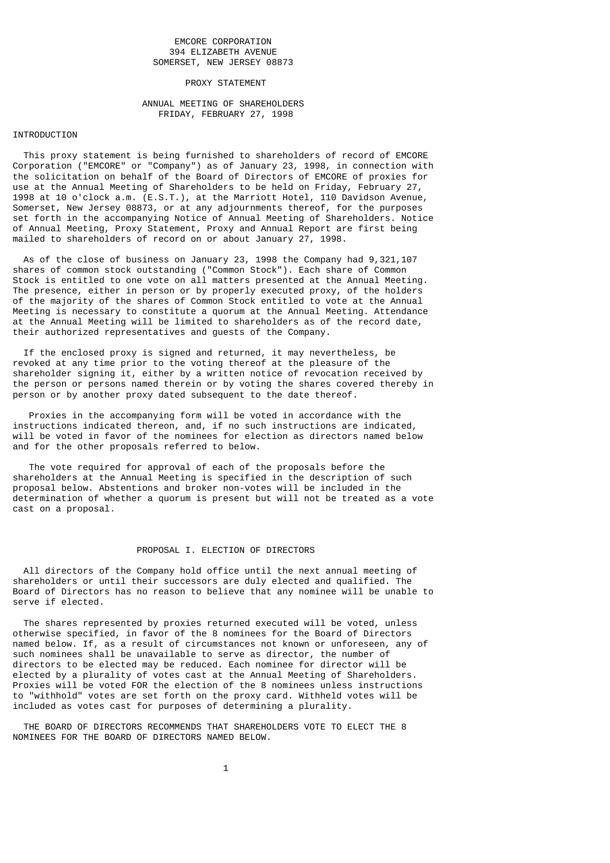# EMCORE CORPORATION 394 ELIZABETH AVENUE SOMERSET, NEW JERSEY 08873

### PROXY STATEMENT

# ANNUAL MEETING OF SHAREHOLDERS FRIDAY, FEBRUARY 27, 1998

# INTRODUCTION

 This proxy statement is being furnished to shareholders of record of EMCORE Corporation ("EMCORE" or "Company") as of January 23, 1998, in connection with the solicitation on behalf of the Board of Directors of EMCORE of proxies for use at the Annual Meeting of Shareholders to be held on Friday, February 27, 1998 at 10 o'clock a.m. (E.S.T.), at the Marriott Hotel, 110 Davidson Avenue, Somerset, New Jersey 08873, or at any adjournments thereof, for the purposes set forth in the accompanying Notice of Annual Meeting of Shareholders. Notice of Annual Meeting, Proxy Statement, Proxy and Annual Report are first being mailed to shareholders of record on or about January 27, 1998.

 As of the close of business on January 23, 1998 the Company had 9,321,107 shares of common stock outstanding ("Common Stock"). Each share of Common Stock is entitled to one vote on all matters presented at the Annual Meeting. The presence, either in person or by properly executed proxy, of the holders of the majority of the shares of Common Stock entitled to vote at the Annual Meeting is necessary to constitute a quorum at the Annual Meeting. Attendance at the Annual Meeting will be limited to shareholders as of the record date, their authorized representatives and guests of the Company.

 If the enclosed proxy is signed and returned, it may nevertheless, be revoked at any time prior to the voting thereof at the pleasure of the shareholder signing it, either by a written notice of revocation received by the person or persons named therein or by voting the shares covered thereby in person or by another proxy dated subsequent to the date thereof.

 Proxies in the accompanying form will be voted in accordance with the instructions indicated thereon, and, if no such instructions are indicated, will be voted in favor of the nominees for election as directors named below and for the other proposals referred to below.

 The vote required for approval of each of the proposals before the shareholders at the Annual Meeting is specified in the description of such proposal below. Abstentions and broker non-votes will be included in the determination of whether a quorum is present but will not be treated as a vote cast on a proposal.

### PROPOSAL I. ELECTION OF DIRECTORS

 All directors of the Company hold office until the next annual meeting of shareholders or until their successors are duly elected and qualified. The Board of Directors has no reason to believe that any nominee will be unable to serve if elected.

 The shares represented by proxies returned executed will be voted, unless otherwise specified, in favor of the 8 nominees for the Board of Directors named below. If, as a result of circumstances not known or unforeseen, any of such nominees shall be unavailable to serve as director, the number of directors to be elected may be reduced. Each nominee for director will be elected by a plurality of votes cast at the Annual Meeting of Shareholders. Proxies will be voted FOR the election of the 8 nominees unless instructions to "withhold" votes are set forth on the proxy card. Withheld votes will be included as votes cast for purposes of determining a plurality.

 THE BOARD OF DIRECTORS RECOMMENDS THAT SHAREHOLDERS VOTE TO ELECT THE 8 NOMINEES FOR THE BOARD OF DIRECTORS NAMED BELOW.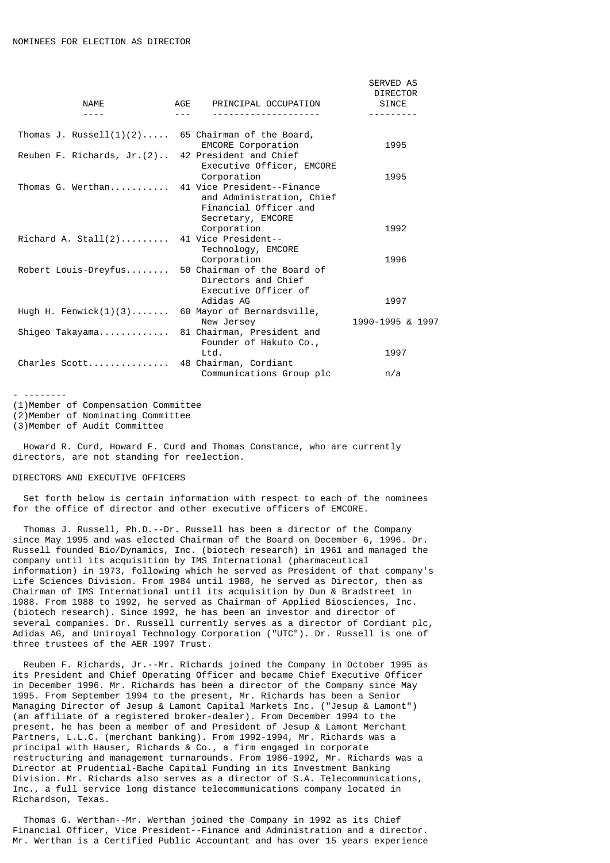| <b>NAME</b>                 | AGE PRINCIPAL OCCUPATION                                                                                               | <b>SERVED AS</b><br><b>DIRECTOR</b><br><b>SINCE</b> |
|-----------------------------|------------------------------------------------------------------------------------------------------------------------|-----------------------------------------------------|
|                             |                                                                                                                        |                                                     |
| Thomas J. Russell $(1)(2)$  | 65 Chairman of the Board,<br><b>EMCORE Corporation</b>                                                                 | 1995                                                |
| Reuben F. Richards, Jr. (2) | 42 President and Chief<br>Executive Officer, EMCORE                                                                    |                                                     |
| Thomas G. Werthan           | Corporation<br>41 Vice President -- Finance<br>and Administration, Chief<br>Financial Officer and<br>Secretary, EMCORE | 1995                                                |
|                             | Corporation                                                                                                            | 1992                                                |
| Richard A. Stall $(2)$      | 41 Vice President--<br>Technology, EMCORE<br>Corporation                                                               | 1996                                                |
| Robert Louis-Dreyfus        | 50 Chairman of the Board of<br>Directors and Chief<br>Executive Officer of                                             |                                                     |
| Hugh H. Fenwick $(1)(3)$    | Adidas AG<br>60 Mayor of Bernardsville,                                                                                | 1997                                                |
|                             | New Jersey                                                                                                             | 1990-1995 & 1997                                    |
| Shigeo Takayama             | 81 Chairman, President and<br>Founder of Hakuto Co.,                                                                   |                                                     |
|                             | Ltd.                                                                                                                   | 1997                                                |
| Charles Scott               | 48 Chairman, Cordiant<br>Communications Group plc                                                                      | n/a                                                 |

- -------- (1)Member of Compensation Committee

(2)Member of Nominating Committee

(3)Member of Audit Committee

 Howard R. Curd, Howard F. Curd and Thomas Constance, who are currently directors, are not standing for reelection.

### DIRECTORS AND EXECUTIVE OFFICERS

 Set forth below is certain information with respect to each of the nominees for the office of director and other executive officers of EMCORE.

 Thomas J. Russell, Ph.D.--Dr. Russell has been a director of the Company since May 1995 and was elected Chairman of the Board on December 6, 1996. Dr. Russell founded Bio/Dynamics, Inc. (biotech research) in 1961 and managed the company until its acquisition by IMS International (pharmaceutical information) in 1973, following which he served as President of that company's Life Sciences Division. From 1984 until 1988, he served as Director, then as Chairman of IMS International until its acquisition by Dun & Bradstreet in 1988. From 1988 to 1992, he served as Chairman of Applied Biosciences, Inc. (biotech research). Since 1992, he has been an investor and director of several companies. Dr. Russell currently serves as a director of Cordiant plc, Adidas AG, and Uniroyal Technology Corporation ("UTC"). Dr. Russell is one of three trustees of the AER 1997 Trust.

 Reuben F. Richards, Jr.--Mr. Richards joined the Company in October 1995 as its President and Chief Operating Officer and became Chief Executive Officer in December 1996. Mr. Richards has been a director of the Company since May 1995. From September 1994 to the present, Mr. Richards has been a Senior Managing Director of Jesup & Lamont Capital Markets Inc. ("Jesup & Lamont") (an affiliate of a registered broker-dealer). From December 1994 to the present, he has been a member of and President of Jesup & Lamont Merchant Partners, L.L.C. (merchant banking). From 1992-1994, Mr. Richards was a principal with Hauser, Richards & Co., a firm engaged in corporate restructuring and management turnarounds. From 1986-1992, Mr. Richards was a Director at Prudential-Bache Capital Funding in its Investment Banking Division. Mr. Richards also serves as a director of S.A. Telecommunications, Inc., a full service long distance telecommunications company located in Richardson, Texas.

 Thomas G. Werthan--Mr. Werthan joined the Company in 1992 as its Chief Financial Officer, Vice President--Finance and Administration and a director. Mr. Werthan is a Certified Public Accountant and has over 15 years experience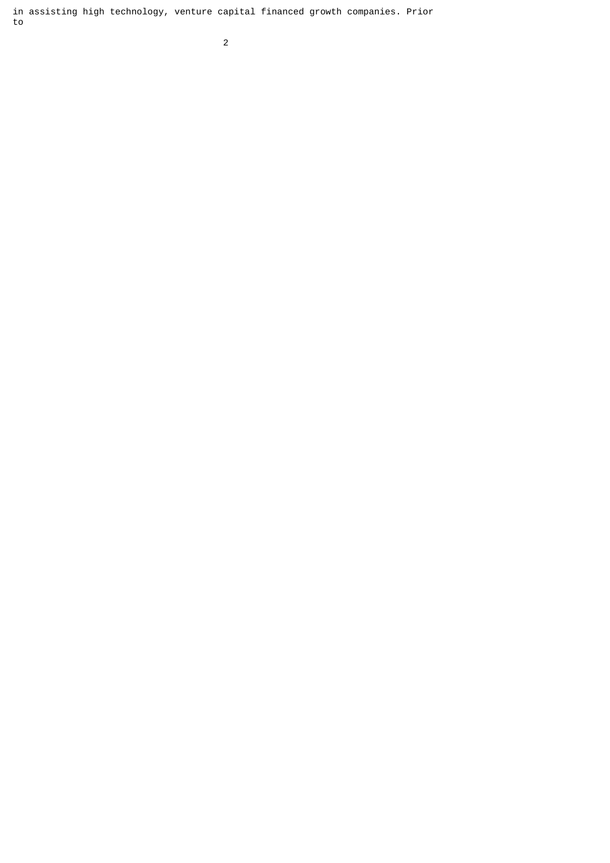in assisting high technology, venture capital financed growth companies. Prior to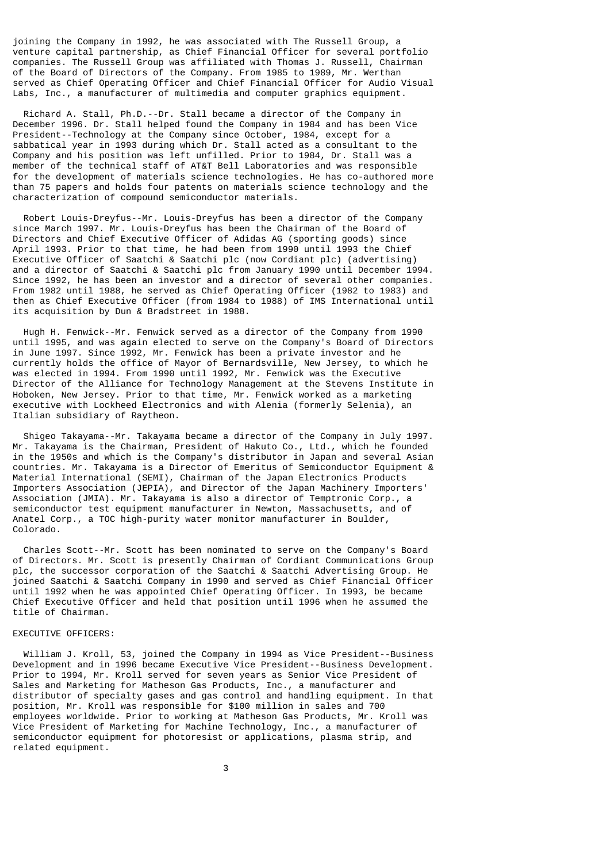joining the Company in 1992, he was associated with The Russell Group, a venture capital partnership, as Chief Financial Officer for several portfolio companies. The Russell Group was affiliated with Thomas J. Russell, Chairman of the Board of Directors of the Company. From 1985 to 1989, Mr. Werthan served as Chief Operating Officer and Chief Financial Officer for Audio Visual Labs, Inc., a manufacturer of multimedia and computer graphics equipment.

 Richard A. Stall, Ph.D.--Dr. Stall became a director of the Company in December 1996. Dr. Stall helped found the Company in 1984 and has been Vice President--Technology at the Company since October, 1984, except for a sabbatical year in 1993 during which Dr. Stall acted as a consultant to the Company and his position was left unfilled. Prior to 1984, Dr. Stall was a member of the technical staff of AT&T Bell Laboratories and was responsible for the development of materials science technologies. He has co-authored more than 75 papers and holds four patents on materials science technology and the characterization of compound semiconductor materials.

 Robert Louis-Dreyfus--Mr. Louis-Dreyfus has been a director of the Company since March 1997. Mr. Louis-Dreyfus has been the Chairman of the Board of Directors and Chief Executive Officer of Adidas AG (sporting goods) since April 1993. Prior to that time, he had been from 1990 until 1993 the Chief Executive Officer of Saatchi & Saatchi plc (now Cordiant plc) (advertising) and a director of Saatchi & Saatchi plc from January 1990 until December 1994. Since 1992, he has been an investor and a director of several other companies. From 1982 until 1988, he served as Chief Operating Officer (1982 to 1983) and then as Chief Executive Officer (from 1984 to 1988) of IMS International until its acquisition by Dun & Bradstreet in 1988.

 Hugh H. Fenwick--Mr. Fenwick served as a director of the Company from 1990 until 1995, and was again elected to serve on the Company's Board of Directors in June 1997. Since 1992, Mr. Fenwick has been a private investor and he currently holds the office of Mayor of Bernardsville, New Jersey, to which he was elected in 1994. From 1990 until 1992, Mr. Fenwick was the Executive Director of the Alliance for Technology Management at the Stevens Institute in Hoboken, New Jersey. Prior to that time, Mr. Fenwick worked as a marketing executive with Lockheed Electronics and with Alenia (formerly Selenia), an Italian subsidiary of Raytheon.

 Shigeo Takayama--Mr. Takayama became a director of the Company in July 1997. Mr. Takayama is the Chairman, President of Hakuto Co., Ltd., which he founded in the 1950s and which is the Company's distributor in Japan and several Asian countries. Mr. Takayama is a Director of Emeritus of Semiconductor Equipment & Material International (SEMI), Chairman of the Japan Electronics Products Importers Association (JEPIA), and Director of the Japan Machinery Importers' Association (JMIA). Mr. Takayama is also a director of Temptronic Corp., a semiconductor test equipment manufacturer in Newton, Massachusetts, and of Anatel Corp., a TOC high-purity water monitor manufacturer in Boulder, Colorado.

 Charles Scott--Mr. Scott has been nominated to serve on the Company's Board of Directors. Mr. Scott is presently Chairman of Cordiant Communications Group plc, the successor corporation of the Saatchi & Saatchi Advertising Group. He joined Saatchi & Saatchi Company in 1990 and served as Chief Financial Officer until 1992 when he was appointed Chief Operating Officer. In 1993, be became Chief Executive Officer and held that position until 1996 when he assumed the title of Chairman.

# EXECUTIVE OFFICERS:

 William J. Kroll, 53, joined the Company in 1994 as Vice President--Business Development and in 1996 became Executive Vice President--Business Development. Prior to 1994, Mr. Kroll served for seven years as Senior Vice President of Sales and Marketing for Matheson Gas Products, Inc., a manufacturer and distributor of specialty gases and gas control and handling equipment. In that position, Mr. Kroll was responsible for \$100 million in sales and 700 employees worldwide. Prior to working at Matheson Gas Products, Mr. Kroll was Vice President of Marketing for Machine Technology, Inc., a manufacturer of semiconductor equipment for photoresist or applications, plasma strip, and related equipment.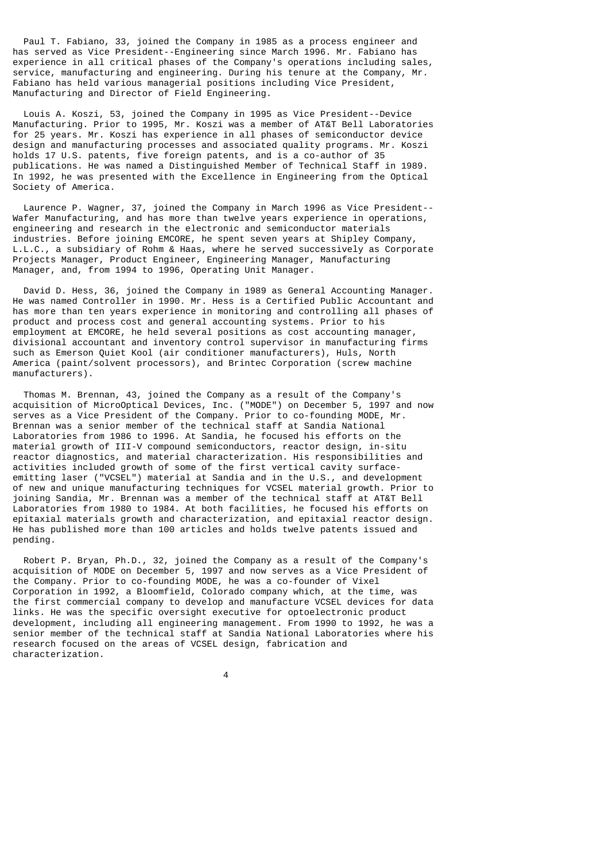Paul T. Fabiano, 33, joined the Company in 1985 as a process engineer and has served as Vice President--Engineering since March 1996. Mr. Fabiano has experience in all critical phases of the Company's operations including sales, service, manufacturing and engineering. During his tenure at the Company, Mr. Fabiano has held various managerial positions including Vice President, Manufacturing and Director of Field Engineering.

 Louis A. Koszi, 53, joined the Company in 1995 as Vice President--Device Manufacturing. Prior to 1995, Mr. Koszi was a member of AT&T Bell Laboratories for 25 years. Mr. Koszi has experience in all phases of semiconductor device design and manufacturing processes and associated quality programs. Mr. Koszi holds 17 U.S. patents, five foreign patents, and is a co-author of 35 publications. He was named a Distinguished Member of Technical Staff in 1989. In 1992, he was presented with the Excellence in Engineering from the Optical Society of America.

 Laurence P. Wagner, 37, joined the Company in March 1996 as Vice President-- Wafer Manufacturing, and has more than twelve years experience in operations, engineering and research in the electronic and semiconductor materials industries. Before joining EMCORE, he spent seven years at Shipley Company, L.L.C., a subsidiary of Rohm & Haas, where he served successively as Corporate Projects Manager, Product Engineer, Engineering Manager, Manufacturing Manager, and, from 1994 to 1996, Operating Unit Manager.

 David D. Hess, 36, joined the Company in 1989 as General Accounting Manager. He was named Controller in 1990. Mr. Hess is a Certified Public Accountant and has more than ten years experience in monitoring and controlling all phases of product and process cost and general accounting systems. Prior to his employment at EMCORE, he held several positions as cost accounting manager, divisional accountant and inventory control supervisor in manufacturing firms such as Emerson Quiet Kool (air conditioner manufacturers), Huls, North America (paint/solvent processors), and Brintec Corporation (screw machine manufacturers).

 Thomas M. Brennan, 43, joined the Company as a result of the Company's acquisition of MicroOptical Devices, Inc. ("MODE") on December 5, 1997 and now serves as a Vice President of the Company. Prior to co-founding MODE, Mr. Brennan was a senior member of the technical staff at Sandia National Laboratories from 1986 to 1996. At Sandia, he focused his efforts on the material growth of III-V compound semiconductors, reactor design, in-situ reactor diagnostics, and material characterization. His responsibilities and activities included growth of some of the first vertical cavity surfaceemitting laser ("VCSEL") material at Sandia and in the U.S., and development of new and unique manufacturing techniques for VCSEL material growth. Prior to joining Sandia, Mr. Brennan was a member of the technical staff at AT&T Bell Laboratories from 1980 to 1984. At both facilities, he focused his efforts on epitaxial materials growth and characterization, and epitaxial reactor design. He has published more than 100 articles and holds twelve patents issued and pending.

 Robert P. Bryan, Ph.D., 32, joined the Company as a result of the Company's acquisition of MODE on December 5, 1997 and now serves as a Vice President of the Company. Prior to co-founding MODE, he was a co-founder of Vixel Corporation in 1992, a Bloomfield, Colorado company which, at the time, was the first commercial company to develop and manufacture VCSEL devices for data links. He was the specific oversight executive for optoelectronic product development, including all engineering management. From 1990 to 1992, he was a senior member of the technical staff at Sandia National Laboratories where his research focused on the areas of VCSEL design, fabrication and characterization.

4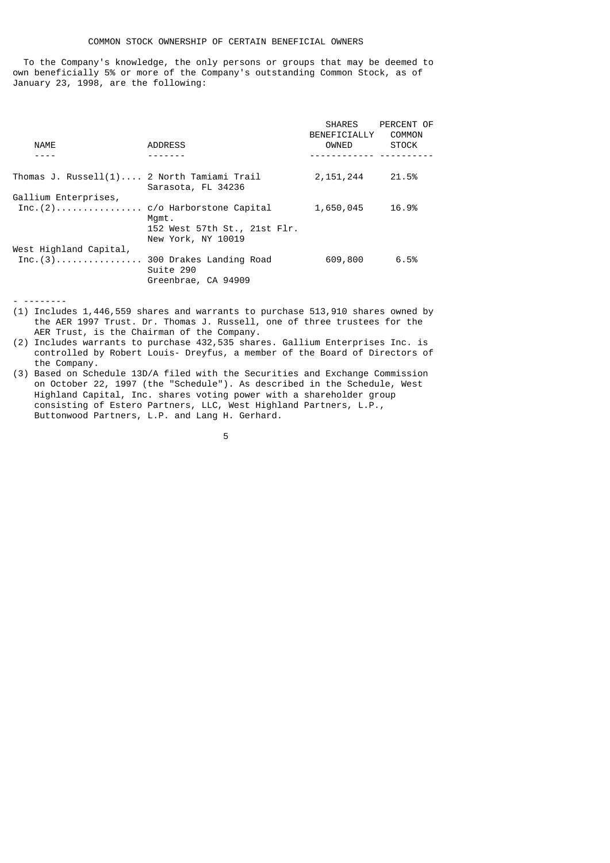To the Company's knowledge, the only persons or groups that may be deemed to own beneficially 5% or more of the Company's outstanding Common Stock, as of January 23, 1998, are the following:

|                                            |                                                    | SHARES<br>BENEFICIALLY | PERCENT OF<br>COMMON |
|--------------------------------------------|----------------------------------------------------|------------------------|----------------------|
| <b>NAME</b>                                | <b>ADDRESS</b>                                     | OWNED                  | <b>STOCK</b>         |
|                                            |                                                    | <u>.</u>               |                      |
| Thomas J. Russell(1) 2 North Tamiami Trail | Sarasota, FL 34236                                 | 2,151,244              | 21.5%                |
| Gallium Enterprises,                       |                                                    |                        |                      |
|                                            | Mqmt.                                              | 1,650,045              | 16.9%                |
|                                            | 152 West 57th St., 21st Flr.<br>New York, NY 10019 |                        |                      |
| West Highland Capital,                     |                                                    |                        |                      |
| Inc. $(3)$                                 | 300 Drakes Landing Road<br>Suite 290               | 609,800                | 6.5%                 |
|                                            | Greenbrae, CA 94909                                |                        |                      |

<sup>- --------</sup>

the contract of the contract of the contract of the contract of the contract of the contract of the contract o

<sup>(1)</sup> Includes 1,446,559 shares and warrants to purchase 513,910 shares owned by the AER 1997 Trust. Dr. Thomas J. Russell, one of three trustees for the AER Trust, is the Chairman of the Company.

<sup>(2)</sup> Includes warrants to purchase 432,535 shares. Gallium Enterprises Inc. is controlled by Robert Louis- Dreyfus, a member of the Board of Directors of the Company.

<sup>(3)</sup> Based on Schedule 13D/A filed with the Securities and Exchange Commission on October 22, 1997 (the "Schedule"). As described in the Schedule, West Highland Capital, Inc. shares voting power with a shareholder group consisting of Estero Partners, LLC, West Highland Partners, L.P., Buttonwood Partners, L.P. and Lang H. Gerhard.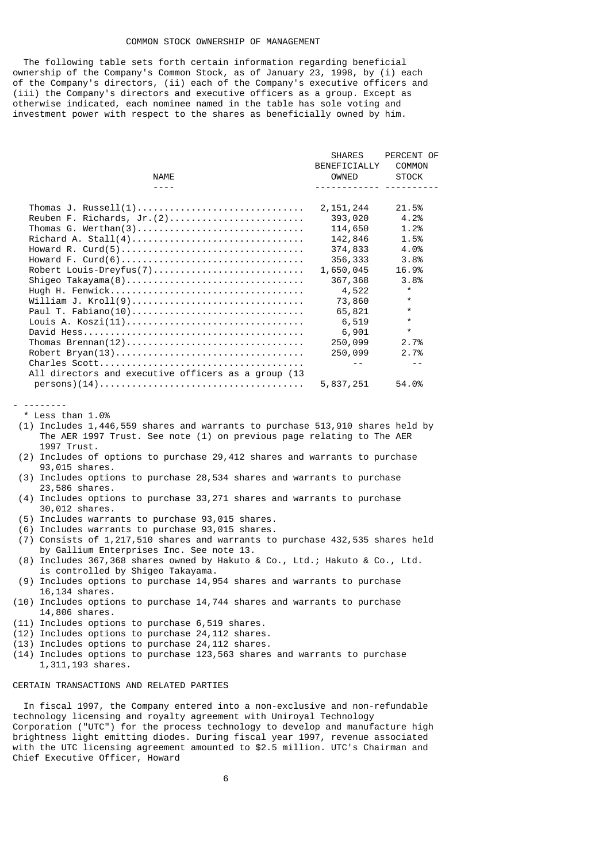#### COMMON STOCK OWNERSHIP OF MANAGEMENT

 The following table sets forth certain information regarding beneficial ownership of the Company's Common Stock, as of January 23, 1998, by (i) each of the Company's directors, (ii) each of the Company's executive officers and (iii) the Company's directors and executive officers as a group. Except as otherwise indicated, each nominee named in the table has sole voting and investment power with respect to the shares as beneficially owned by him.

|                                                     | <b>SHARES</b> | PERCENT OF   |
|-----------------------------------------------------|---------------|--------------|
|                                                     | BENEFICIALLY  | COMMON       |
| <b>NAME</b>                                         | OWNED         | <b>STOCK</b> |
|                                                     |               |              |
|                                                     | 2, 151, 244   | 21.5%        |
|                                                     | 393,020       | 4.2%         |
|                                                     | 114,650       | 1.2%         |
|                                                     | 142,846       | 1.5%         |
|                                                     | 374,833       | 4.0%         |
|                                                     | 356,333       | 3.8%         |
| Robert Louis-Dreyfus(7)                             | 1,650,045     | 16.9%        |
| Shigeo Takayama(8)                                  | 367,368       | 3.8%         |
|                                                     | 4,522         | $\star$      |
| William J. Kroll(9)                                 | 73,860        | $\star$      |
| Paul T. Fabiano(10)                                 | 65,821        | $\star$      |
| Louis A. Koszi(11)                                  | 6,519         | $\star$      |
|                                                     | 6,901         | $\star$      |
|                                                     | 250,099       | 2.7%         |
|                                                     | 250,099       | 2.7%         |
|                                                     |               |              |
| All directors and executive officers as a group (13 |               |              |
|                                                     | 5,837,251     | 54.0%        |
|                                                     |               |              |

<sup>- --------</sup> \* Less than 1.0%

- (1) Includes 1,446,559 shares and warrants to purchase 513,910 shares held by The AER 1997 Trust. See note (1) on previous page relating to The AER 1997 Trust.
- (2) Includes of options to purchase 29,412 shares and warrants to purchase 93,015 shares.
- (3) Includes options to purchase 28,534 shares and warrants to purchase 23,586 shares.
- (4) Includes options to purchase 33,271 shares and warrants to purchase 30,012 shares.
- (5) Includes warrants to purchase 93,015 shares.
- (6) Includes warrants to purchase 93,015 shares.
- (7) Consists of 1,217,510 shares and warrants to purchase 432,535 shares held by Gallium Enterprises Inc. See note 13.
- (8) Includes 367,368 shares owned by Hakuto & Co., Ltd.; Hakuto & Co., Ltd. is controlled by Shigeo Takayama.
- (9) Includes options to purchase 14,954 shares and warrants to purchase 16,134 shares.
- (10) Includes options to purchase 14,744 shares and warrants to purchase 14,806 shares.
- (11) Includes options to purchase 6,519 shares.
- (12) Includes options to purchase 24,112 shares.
- (13) Includes options to purchase 24,112 shares.
- (14) Includes options to purchase 123,563 shares and warrants to purchase 1,311,193 shares.

### CERTAIN TRANSACTIONS AND RELATED PARTIES

 In fiscal 1997, the Company entered into a non-exclusive and non-refundable technology licensing and royalty agreement with Uniroyal Technology Corporation ("UTC") for the process technology to develop and manufacture high brightness light emitting diodes. During fiscal year 1997, revenue associated with the UTC licensing agreement amounted to \$2.5 million. UTC's Chairman and Chief Executive Officer, Howard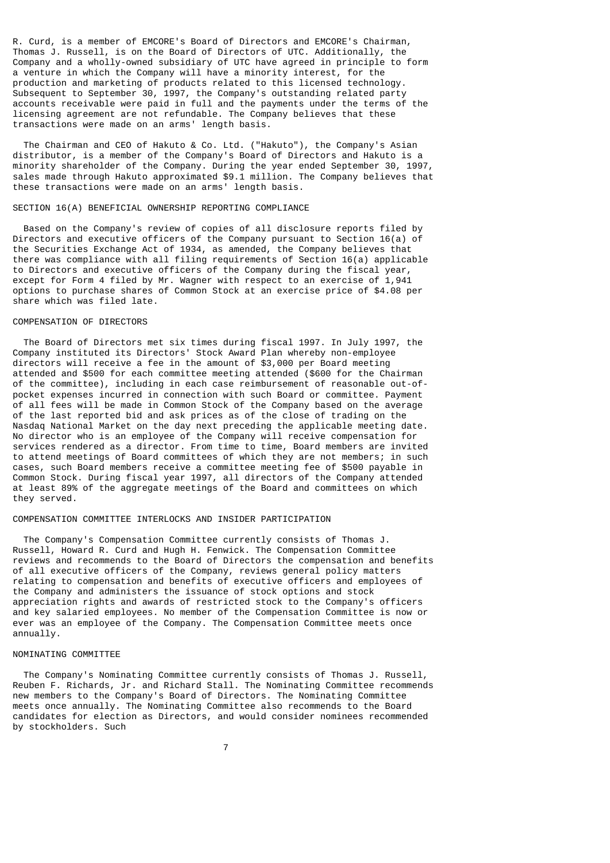R. Curd, is a member of EMCORE's Board of Directors and EMCORE's Chairman, Thomas J. Russell, is on the Board of Directors of UTC. Additionally, the Company and a wholly-owned subsidiary of UTC have agreed in principle to form a venture in which the Company will have a minority interest, for the production and marketing of products related to this licensed technology. Subsequent to September 30, 1997, the Company's outstanding related party accounts receivable were paid in full and the payments under the terms of the licensing agreement are not refundable. The Company believes that these transactions were made on an arms' length basis.

 The Chairman and CEO of Hakuto & Co. Ltd. ("Hakuto"), the Company's Asian distributor, is a member of the Company's Board of Directors and Hakuto is a minority shareholder of the Company. During the year ended September 30, 1997, sales made through Hakuto approximated \$9.1 million. The Company believes that these transactions were made on an arms' length basis.

### SECTION 16(A) BENEFICIAL OWNERSHIP REPORTING COMPLIANCE

 Based on the Company's review of copies of all disclosure reports filed by Directors and executive officers of the Company pursuant to Section 16(a) of the Securities Exchange Act of 1934, as amended, the Company believes that there was compliance with all filing requirements of Section 16(a) applicable to Directors and executive officers of the Company during the fiscal year, except for Form 4 filed by Mr. Wagner with respect to an exercise of 1,941 options to purchase shares of Common Stock at an exercise price of \$4.08 per share which was filed late.

### COMPENSATION OF DIRECTORS

 The Board of Directors met six times during fiscal 1997. In July 1997, the Company instituted its Directors' Stock Award Plan whereby non-employee directors will receive a fee in the amount of \$3,000 per Board meeting attended and \$500 for each committee meeting attended (\$600 for the Chairman of the committee), including in each case reimbursement of reasonable out-ofpocket expenses incurred in connection with such Board or committee. Payment of all fees will be made in Common Stock of the Company based on the average of the last reported bid and ask prices as of the close of trading on the Nasdaq National Market on the day next preceding the applicable meeting date. No director who is an employee of the Company will receive compensation for services rendered as a director. From time to time, Board members are invited to attend meetings of Board committees of which they are not members; in such cases, such Board members receive a committee meeting fee of \$500 payable in Common Stock. During fiscal year 1997, all directors of the Company attended at least 89% of the aggregate meetings of the Board and committees on which they served.

### COMPENSATION COMMITTEE INTERLOCKS AND INSIDER PARTICIPATION

 The Company's Compensation Committee currently consists of Thomas J. Russell, Howard R. Curd and Hugh H. Fenwick. The Compensation Committee reviews and recommends to the Board of Directors the compensation and benefits of all executive officers of the Company, reviews general policy matters relating to compensation and benefits of executive officers and employees of the Company and administers the issuance of stock options and stock appreciation rights and awards of restricted stock to the Company's officers and key salaried employees. No member of the Compensation Committee is now or ever was an employee of the Company. The Compensation Committee meets once annually.

### NOMINATING COMMITTEE

 The Company's Nominating Committee currently consists of Thomas J. Russell, Reuben F. Richards, Jr. and Richard Stall. The Nominating Committee recommends new members to the Company's Board of Directors. The Nominating Committee meets once annually. The Nominating Committee also recommends to the Board candidates for election as Directors, and would consider nominees recommended by stockholders. Such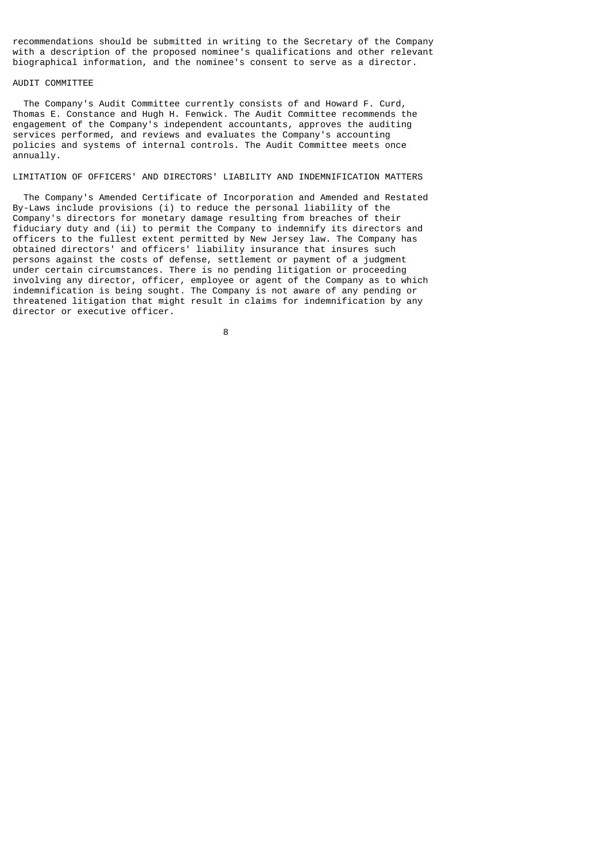recommendations should be submitted in writing to the Secretary of the Company with a description of the proposed nominee's qualifications and other relevant biographical information, and the nominee's consent to serve as a director.

### AUDIT COMMITTEE

 The Company's Audit Committee currently consists of and Howard F. Curd, Thomas E. Constance and Hugh H. Fenwick. The Audit Committee recommends the engagement of the Company's independent accountants, approves the auditing services performed, and reviews and evaluates the Company's accounting policies and systems of internal controls. The Audit Committee meets once annually.

# LIMITATION OF OFFICERS' AND DIRECTORS' LIABILITY AND INDEMNIFICATION MATTERS

 The Company's Amended Certificate of Incorporation and Amended and Restated By-Laws include provisions (i) to reduce the personal liability of the Company's directors for monetary damage resulting from breaches of their fiduciary duty and (ii) to permit the Company to indemnify its directors and officers to the fullest extent permitted by New Jersey law. The Company has obtained directors' and officers' liability insurance that insures such persons against the costs of defense, settlement or payment of a judgment under certain circumstances. There is no pending litigation or proceeding involving any director, officer, employee or agent of the Company as to which indemnification is being sought. The Company is not aware of any pending or threatened litigation that might result in claims for indemnification by any director or executive officer.

en andere andere andere andere andere andere andere andere andere andere andere andere andere andere andere an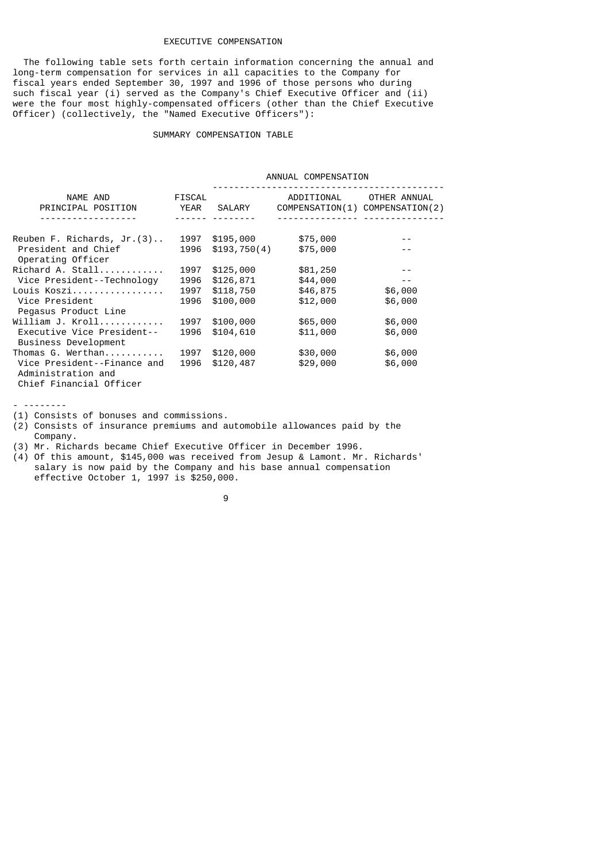# EXECUTIVE COMPENSATION

 The following table sets forth certain information concerning the annual and long-term compensation for services in all capacities to the Company for fiscal years ended September 30, 1997 and 1996 of those persons who during such fiscal year (i) served as the Company's Chief Executive Officer and (ii) were the four most highly-compensated officers (other than the Chief Executive Officer) (collectively, the "Named Executive Officers"):

### SUMMARY COMPENSATION TABLE

 ANNUAL COMPENSATION ------------------------------------------- NAME AND FISCAL ADDITIONAL OTHER ANNUAL PRINCIPAL POSITION FISCAL COMPENSATION(1) COMPENSATION( PRINCIPAL POSITION YEAR SALARY COMPENSATION(1) COMPENSATION(2) ------------------ ------ -------- --------------- --------------- Reuben F. Richards, Jr.(3).. 1997 \$195,000 \$75,000 President and Chief (1996 \$193,750(4) \$75,000 -- Operating Officer Richard A. Stall............ 1997 \$125,000 \$81,250 -- Vice President--Technology 1996 \$126,871 \$44,000 -- Louis Koszi................. 1997 \$118,750 \$46,875 \$6,000 1996 \$100,000 \$12,000 \$6,000 Pegasus Product Line William J. Kroll............ 1997 \$100,000 \$65,000 \$6,000 Executive Vice President-- 1996 \$104,610 \$11,000 \$6,000 Business Development Thomas G. Werthan........... 1997 \$120,000 \$30,000 \$6,000 Vice President--Finance and  $1996$  \$120,487 Administration and Chief Financial Officer

- --------

(1) Consists of bonuses and commissions.

(2) Consists of insurance premiums and automobile allowances paid by the Company.

(3) Mr. Richards became Chief Executive Officer in December 1996.

(4) Of this amount, \$145,000 was received from Jesup & Lamont. Mr. Richards' salary is now paid by the Company and his base annual compensation effective October 1, 1997 is \$250,000.

9 and 2012 and 2013 and 2014 and 2014 and 2014 and 2014 and 2014 and 2014 and 2014 and 2014 and 2014 and 2014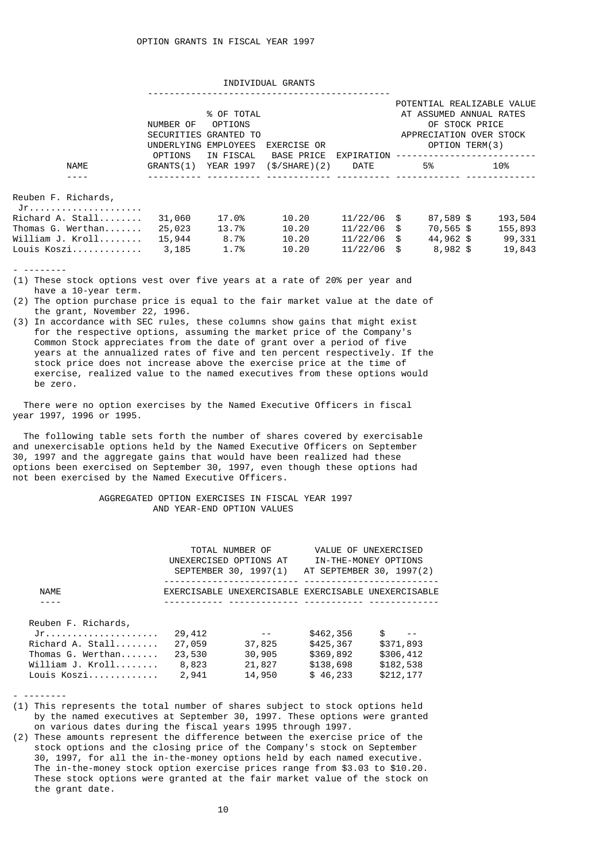### INDIVIDUAL GRANTS

|                     | NUMBER OF<br>UNDERLYING EMPLOYEES<br>OPTIONS | % OF TOTAL<br>OPTIONS<br>SECURITIES GRANTED TO<br>IN FISCAL | EXERCISE OR                 | EXPIRATION    | POTENTIAL REALIZABLE VALUE<br>AT ASSUMED ANNUAL RATES<br>OF STOCK PRICE<br>APPRECIATION OVER STOCK<br>OPTION TERM(3) |           |  |         |
|---------------------|----------------------------------------------|-------------------------------------------------------------|-----------------------------|---------------|----------------------------------------------------------------------------------------------------------------------|-----------|--|---------|
| <b>NAME</b>         | GRANTS(1) YEAR 1997                          |                                                             | BASE PRICE<br>(\$/SHARE)(2) | DATE          |                                                                                                                      | 5%        |  | 10%     |
|                     |                                              |                                                             |                             |               |                                                                                                                      |           |  |         |
| Reuben F. Richards, |                                              |                                                             |                             |               |                                                                                                                      |           |  |         |
| Richard A. Stall    | 31,060                                       | 17.0%                                                       | 10.20                       | $11/22/06$ \$ |                                                                                                                      | 87,589 \$ |  | 193,504 |
| Thomas G. Werthan   | 25,023                                       | 13.7%                                                       | 10.20                       | $11/22/06$ \$ |                                                                                                                      | 70,565 \$ |  | 155,893 |
| William J. Kroll    | 15,944                                       | 8.7%                                                        | 10.20                       | $11/22/06$ \$ |                                                                                                                      | 44,962 \$ |  | 99,331  |

Louis Koszi............. 3,185 1.7% 10.20 11/22/06 \$ 8,982 \$ 19,843

- --------

- (1) These stock options vest over five years at a rate of 20% per year and have a 10-year term.
- (2) The option purchase price is equal to the fair market value at the date of the grant, November 22, 1996.
- (3) In accordance with SEC rules, these columns show gains that might exist for the respective options, assuming the market price of the Company's Common Stock appreciates from the date of grant over a period of five years at the annualized rates of five and ten percent respectively. If the stock price does not increase above the exercise price at the time of exercise, realized value to the named executives from these options would be zero.

 There were no option exercises by the Named Executive Officers in fiscal year 1997, 1996 or 1995.

 The following table sets forth the number of shares covered by exercisable and unexercisable options held by the Named Executive Officers on September 30, 1997 and the aggregate gains that would have been realized had these options been exercised on September 30, 1997, even though these options had not been exercised by the Named Executive Officers.

# AGGREGATED OPTION EXERCISES IN FISCAL YEAR 1997 AND YEAR-END OPTION VALUES

|                     |        | TOTAL NUMBER OF<br>UNEXERCISED OPTIONS AT<br>SEPTEMBER 30, 1997(1) |           | VALUE OF UNEXERCISED<br>IN-THE-MONEY OPTIONS<br>AT SEPTEMBER 30, 1997(2) |
|---------------------|--------|--------------------------------------------------------------------|-----------|--------------------------------------------------------------------------|
| <b>NAMF</b>         |        |                                                                    |           | EXERCISABLE UNEXERCISABLE EXERCISABLE UNEXERCISABLE                      |
|                     |        |                                                                    |           |                                                                          |
| Reuben F. Richards, |        |                                                                    |           |                                                                          |
| $Jr.$               | 29,412 |                                                                    | \$462,356 | \$                                                                       |
| Richard A. Stall    | 27,059 | 37,825                                                             | \$425,367 | \$371,893                                                                |
| Thomas G. Werthan   | 23,530 | 30,905                                                             | \$369,892 | \$306,412                                                                |
|                     | 8,823  | 21,827                                                             | \$138,698 | \$182,538                                                                |
| Louis Koszi         | 2,941  | 14,950                                                             | \$46,233  | \$212,177                                                                |

- --------

- (1) This represents the total number of shares subject to stock options held by the named executives at September 30, 1997. These options were granted on various dates during the fiscal years 1995 through 1997.
- (2) These amounts represent the difference between the exercise price of the stock options and the closing price of the Company's stock on September 30, 1997, for all the in-the-money options held by each named executive. The in-the-money stock option exercise prices range from \$3.03 to \$10.20. These stock options were granted at the fair market value of the stock on the grant date.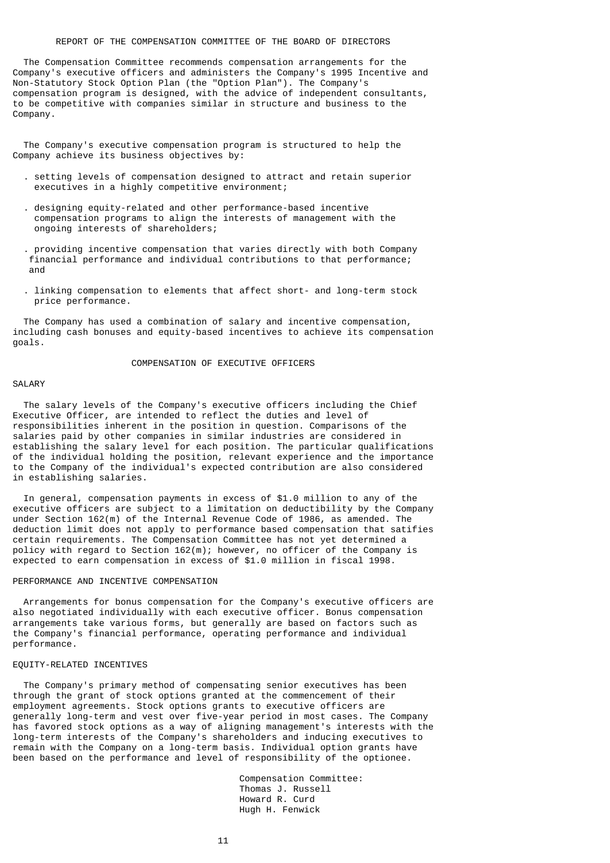# REPORT OF THE COMPENSATION COMMITTEE OF THE BOARD OF DIRECTORS

 The Compensation Committee recommends compensation arrangements for the Company's executive officers and administers the Company's 1995 Incentive and Non-Statutory Stock Option Plan (the "Option Plan"). The Company's compensation program is designed, with the advice of independent consultants, to be competitive with companies similar in structure and business to the Company.

 The Company's executive compensation program is structured to help the Company achieve its business objectives by:

- . setting levels of compensation designed to attract and retain superior executives in a highly competitive environment;
- . designing equity-related and other performance-based incentive compensation programs to align the interests of management with the ongoing interests of shareholders;
- . providing incentive compensation that varies directly with both Company financial performance and individual contributions to that performance; and
- . linking compensation to elements that affect short- and long-term stock price performance.

 The Company has used a combination of salary and incentive compensation, including cash bonuses and equity-based incentives to achieve its compensation goals.

# COMPENSATION OF EXECUTIVE OFFICERS

#### SALARY

 The salary levels of the Company's executive officers including the Chief Executive Officer, are intended to reflect the duties and level of responsibilities inherent in the position in question. Comparisons of the salaries paid by other companies in similar industries are considered in establishing the salary level for each position. The particular qualifications of the individual holding the position, relevant experience and the importance to the Company of the individual's expected contribution are also considered in establishing salaries.

 In general, compensation payments in excess of \$1.0 million to any of the executive officers are subject to a limitation on deductibility by the Company under Section 162(m) of the Internal Revenue Code of 1986, as amended. The deduction limit does not apply to performance based compensation that satifies certain requirements. The Compensation Committee has not yet determined a policy with regard to Section 162(m); however, no officer of the Company is expected to earn compensation in excess of \$1.0 million in fiscal 1998.

# PERFORMANCE AND INCENTIVE COMPENSATION

 Arrangements for bonus compensation for the Company's executive officers are also negotiated individually with each executive officer. Bonus compensation arrangements take various forms, but generally are based on factors such as the Company's financial performance, operating performance and individual performance.

#### EQUITY-RELATED INCENTIVES

 The Company's primary method of compensating senior executives has been through the grant of stock options granted at the commencement of their employment agreements. Stock options grants to executive officers are generally long-term and vest over five-year period in most cases. The Company has favored stock options as a way of aligning management's interests with the long-term interests of the Company's shareholders and inducing executives to remain with the Company on a long-term basis. Individual option grants have been based on the performance and level of responsibility of the optionee.

> Compensation Committee: Thomas J. Russell Howard R. Curd Hugh H. Fenwick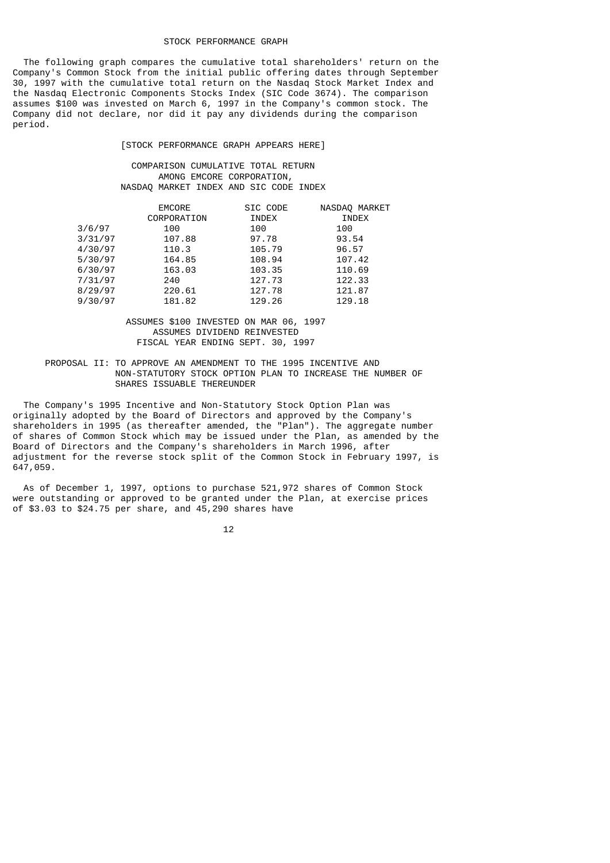## STOCK PERFORMANCE GRAPH

 The following graph compares the cumulative total shareholders' return on the Company's Common Stock from the initial public offering dates through September 30, 1997 with the cumulative total return on the Nasdaq Stock Market Index and the Nasdaq Electronic Components Stocks Index (SIC Code 3674). The comparison assumes \$100 was invested on March 6, 1997 in the Company's common stock. The Company did not declare, nor did it pay any dividends during the comparison period.

[STOCK PERFORMANCE GRAPH APPEARS HERE]

 COMPARISON CUMULATIVE TOTAL RETURN AMONG EMCORE CORPORATION, NASDAQ MARKET INDEX AND SIC CODE INDEX

|         | <b>EMCORE</b><br>CORPORATION | SIC CODE<br>INDEX | NASDAQ MARKET<br>INDEX |
|---------|------------------------------|-------------------|------------------------|
| 3/6/97  | 100                          | 100               | 100                    |
| 3/31/97 | 107.88                       | 97.78             | 93.54                  |
| 4/30/97 | 110.3                        | 105.79            | 96.57                  |
| 5/30/97 | 164.85                       | 108.94            | 107.42                 |
| 6/30/97 | 163.03                       | 103.35            | 110.69                 |
| 7/31/97 | 240                          | 127.73            | 122.33                 |
| 8/29/97 | 220.61                       | 127.78            | 121.87                 |
| 9/30/97 | 181.82                       | 129.26            | 129.18                 |

# ASSUMES \$100 INVESTED ON MAR 06, 1997 ASSUMES DIVIDEND REINVESTED FISCAL YEAR ENDING SEPT. 30, 1997

# PROPOSAL II: TO APPROVE AN AMENDMENT TO THE 1995 INCENTIVE AND NON-STATUTORY STOCK OPTION PLAN TO INCREASE THE NUMBER OF SHARES ISSUABLE THEREUNDER

 The Company's 1995 Incentive and Non-Statutory Stock Option Plan was originally adopted by the Board of Directors and approved by the Company's shareholders in 1995 (as thereafter amended, the "Plan"). The aggregate number of shares of Common Stock which may be issued under the Plan, as amended by the Board of Directors and the Company's shareholders in March 1996, after adjustment for the reverse stock split of the Common Stock in February 1997, is 647,059.

 As of December 1, 1997, options to purchase 521,972 shares of Common Stock were outstanding or approved to be granted under the Plan, at exercise prices of \$3.03 to \$24.75 per share, and 45,290 shares have

 $12$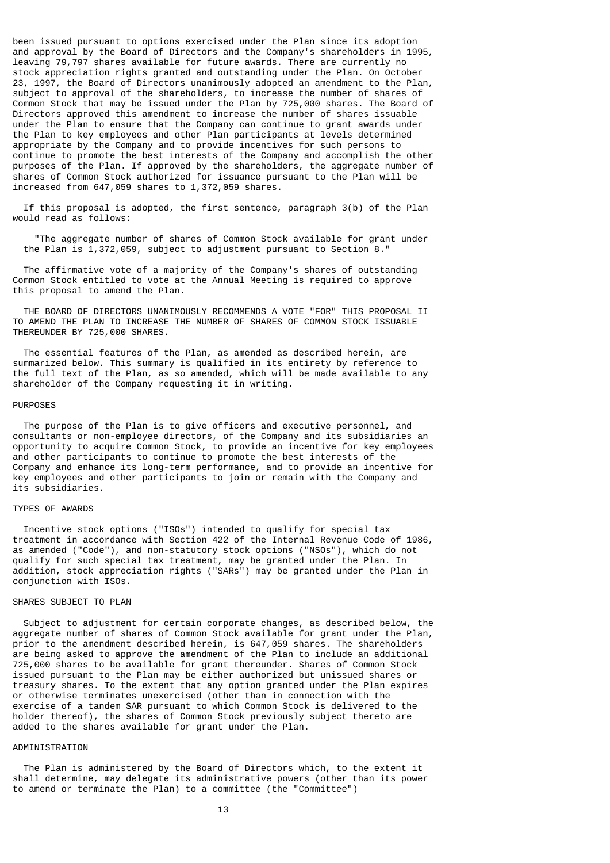been issued pursuant to options exercised under the Plan since its adoption and approval by the Board of Directors and the Company's shareholders in 1995, leaving 79,797 shares available for future awards. There are currently no stock appreciation rights granted and outstanding under the Plan. On October 23, 1997, the Board of Directors unanimously adopted an amendment to the Plan, subject to approval of the shareholders, to increase the number of shares of Common Stock that may be issued under the Plan by 725,000 shares. The Board of Directors approved this amendment to increase the number of shares issuable under the Plan to ensure that the Company can continue to grant awards under the Plan to key employees and other Plan participants at levels determined appropriate by the Company and to provide incentives for such persons to continue to promote the best interests of the Company and accomplish the other purposes of the Plan. If approved by the shareholders, the aggregate number of shares of Common Stock authorized for issuance pursuant to the Plan will be increased from 647,059 shares to 1,372,059 shares.

 If this proposal is adopted, the first sentence, paragraph 3(b) of the Plan would read as follows:

 "The aggregate number of shares of Common Stock available for grant under the Plan is 1,372,059, subject to adjustment pursuant to Section 8."

 The affirmative vote of a majority of the Company's shares of outstanding Common Stock entitled to vote at the Annual Meeting is required to approve this proposal to amend the Plan.

THE BOARD OF DIRECTORS UNANIMOUSLY RECOMMENDS A VOTE "FOR" THIS PROPOSAL IT TO AMEND THE PLAN TO INCREASE THE NUMBER OF SHARES OF COMMON STOCK ISSUABLE THEREUNDER BY 725,000 SHARES.

 The essential features of the Plan, as amended as described herein, are summarized below. This summary is qualified in its entirety by reference to the full text of the Plan, as so amended, which will be made available to any shareholder of the Company requesting it in writing.

#### PURPOSES

 The purpose of the Plan is to give officers and executive personnel, and consultants or non-employee directors, of the Company and its subsidiaries an opportunity to acquire Common Stock, to provide an incentive for key employees and other participants to continue to promote the best interests of the Company and enhance its long-term performance, and to provide an incentive for key employees and other participants to join or remain with the Company and its subsidiaries.

### TYPES OF AWARDS

 Incentive stock options ("ISOs") intended to qualify for special tax treatment in accordance with Section 422 of the Internal Revenue Code of 1986, as amended ("Code"), and non-statutory stock options ("NSOs"), which do not qualify for such special tax treatment, may be granted under the Plan. In addition, stock appreciation rights ("SARs") may be granted under the Plan in conjunction with ISOs.

# SHARES SUBJECT TO PLAN

 Subject to adjustment for certain corporate changes, as described below, the aggregate number of shares of Common Stock available for grant under the Plan, prior to the amendment described herein, is 647,059 shares. The shareholders are being asked to approve the amendment of the Plan to include an additional 725,000 shares to be available for grant thereunder. Shares of Common Stock issued pursuant to the Plan may be either authorized but unissued shares or treasury shares. To the extent that any option granted under the Plan expires or otherwise terminates unexercised (other than in connection with the exercise of a tandem SAR pursuant to which Common Stock is delivered to the holder thereof), the shares of Common Stock previously subject thereto are added to the shares available for grant under the Plan.

### ADMINISTRATION

 The Plan is administered by the Board of Directors which, to the extent it shall determine, may delegate its administrative powers (other than its power to amend or terminate the Plan) to a committee (the "Committee")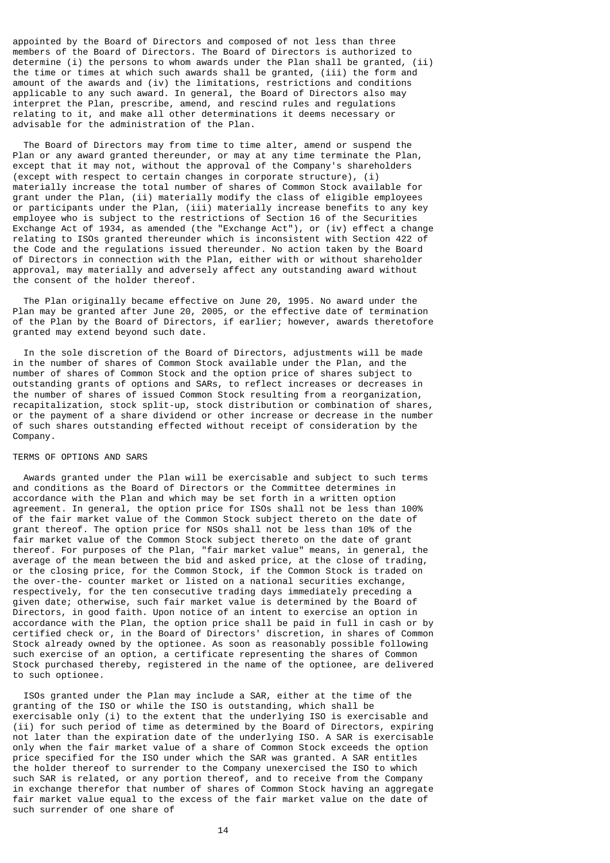appointed by the Board of Directors and composed of not less than three members of the Board of Directors. The Board of Directors is authorized to determine (i) the persons to whom awards under the Plan shall be granted, (ii) the time or times at which such awards shall be granted, (iii) the form and amount of the awards and (iv) the limitations, restrictions and conditions applicable to any such award. In general, the Board of Directors also may interpret the Plan, prescribe, amend, and rescind rules and regulations relating to it, and make all other determinations it deems necessary or advisable for the administration of the Plan.

 The Board of Directors may from time to time alter, amend or suspend the Plan or any award granted thereunder, or may at any time terminate the Plan, except that it may not, without the approval of the Company's shareholders (except with respect to certain changes in corporate structure), (i) materially increase the total number of shares of Common Stock available for grant under the Plan, (ii) materially modify the class of eligible employees or participants under the Plan, (iii) materially increase benefits to any key employee who is subject to the restrictions of Section 16 of the Securities Exchange Act of 1934, as amended (the "Exchange Act"), or (iv) effect a change relating to ISOs granted thereunder which is inconsistent with Section 422 of the Code and the regulations issued thereunder. No action taken by the Board of Directors in connection with the Plan, either with or without shareholder approval, may materially and adversely affect any outstanding award without the consent of the holder thereof.

 The Plan originally became effective on June 20, 1995. No award under the Plan may be granted after June 20, 2005, or the effective date of termination of the Plan by the Board of Directors, if earlier; however, awards theretofore granted may extend beyond such date.

 In the sole discretion of the Board of Directors, adjustments will be made in the number of shares of Common Stock available under the Plan, and the number of shares of Common Stock and the option price of shares subject to outstanding grants of options and SARs, to reflect increases or decreases in the number of shares of issued Common Stock resulting from a reorganization, recapitalization, stock split-up, stock distribution or combination of shares, or the payment of a share dividend or other increase or decrease in the number of such shares outstanding effected without receipt of consideration by the Company.

## TERMS OF OPTIONS AND SARS

 Awards granted under the Plan will be exercisable and subject to such terms and conditions as the Board of Directors or the Committee determines in accordance with the Plan and which may be set forth in a written option agreement. In general, the option price for ISOs shall not be less than 100% of the fair market value of the Common Stock subject thereto on the date of grant thereof. The option price for NSOs shall not be less than 10% of the fair market value of the Common Stock subject thereto on the date of grant thereof. For purposes of the Plan, "fair market value" means, in general, the average of the mean between the bid and asked price, at the close of trading, or the closing price, for the Common Stock, if the Common Stock is traded on the over-the- counter market or listed on a national securities exchange, respectively, for the ten consecutive trading days immediately preceding a given date; otherwise, such fair market value is determined by the Board of Directors, in good faith. Upon notice of an intent to exercise an option in accordance with the Plan, the option price shall be paid in full in cash or by certified check or, in the Board of Directors' discretion, in shares of Common Stock already owned by the optionee. As soon as reasonably possible following such exercise of an option, a certificate representing the shares of Common Stock purchased thereby, registered in the name of the optionee, are delivered to such optionee.

 ISOs granted under the Plan may include a SAR, either at the time of the granting of the ISO or while the ISO is outstanding, which shall be exercisable only (i) to the extent that the underlying ISO is exercisable and (ii) for such period of time as determined by the Board of Directors, expiring not later than the expiration date of the underlying ISO. A SAR is exercisable only when the fair market value of a share of Common Stock exceeds the option price specified for the ISO under which the SAR was granted. A SAR entitles the holder thereof to surrender to the Company unexercised the ISO to which such SAR is related, or any portion thereof, and to receive from the Company in exchange therefor that number of shares of Common Stock having an aggregate fair market value equal to the excess of the fair market value on the date of such surrender of one share of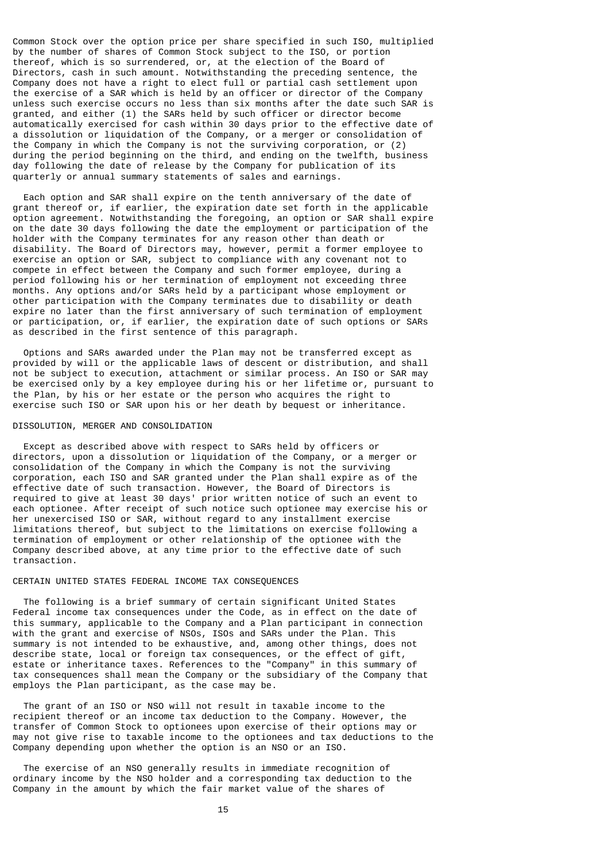Common Stock over the option price per share specified in such ISO, multiplied by the number of shares of Common Stock subject to the ISO, or portion thereof, which is so surrendered, or, at the election of the Board of Directors, cash in such amount. Notwithstanding the preceding sentence, the Company does not have a right to elect full or partial cash settlement upon the exercise of a SAR which is held by an officer or director of the Company unless such exercise occurs no less than six months after the date such SAR is granted, and either (1) the SARs held by such officer or director become automatically exercised for cash within 30 days prior to the effective date of a dissolution or liquidation of the Company, or a merger or consolidation of the Company in which the Company is not the surviving corporation, or (2) during the period beginning on the third, and ending on the twelfth, business day following the date of release by the Company for publication of its quarterly or annual summary statements of sales and earnings.

 Each option and SAR shall expire on the tenth anniversary of the date of grant thereof or, if earlier, the expiration date set forth in the applicable option agreement. Notwithstanding the foregoing, an option or SAR shall expire on the date 30 days following the date the employment or participation of the holder with the Company terminates for any reason other than death or disability. The Board of Directors may, however, permit a former employee to exercise an option or SAR, subject to compliance with any covenant not to compete in effect between the Company and such former employee, during a period following his or her termination of employment not exceeding three months. Any options and/or SARs held by a participant whose employment or other participation with the Company terminates due to disability or death expire no later than the first anniversary of such termination of employment or participation, or, if earlier, the expiration date of such options or SARs as described in the first sentence of this paragraph.

 Options and SARs awarded under the Plan may not be transferred except as provided by will or the applicable laws of descent or distribution, and shall not be subject to execution, attachment or similar process. An ISO or SAR may be exercised only by a key employee during his or her lifetime or, pursuant to the Plan, by his or her estate or the person who acquires the right to exercise such ISO or SAR upon his or her death by bequest or inheritance.

### DISSOLUTION, MERGER AND CONSOLIDATION

 Except as described above with respect to SARs held by officers or directors, upon a dissolution or liquidation of the Company, or a merger or consolidation of the Company in which the Company is not the surviving corporation, each ISO and SAR granted under the Plan shall expire as of the effective date of such transaction. However, the Board of Directors is required to give at least 30 days' prior written notice of such an event to each optionee. After receipt of such notice such optionee may exercise his or her unexercised ISO or SAR, without regard to any installment exercise limitations thereof, but subject to the limitations on exercise following a termination of employment or other relationship of the optionee with the Company described above, at any time prior to the effective date of such transaction.

## CERTAIN UNITED STATES FEDERAL INCOME TAX CONSEQUENCES

 The following is a brief summary of certain significant United States Federal income tax consequences under the Code, as in effect on the date of this summary, applicable to the Company and a Plan participant in connection with the grant and exercise of NSOs, ISOs and SARs under the Plan. This summary is not intended to be exhaustive, and, among other things, does not describe state, local or foreign tax consequences, or the effect of gift, estate or inheritance taxes. References to the "Company" in this summary of tax consequences shall mean the Company or the subsidiary of the Company that employs the Plan participant, as the case may be.

 The grant of an ISO or NSO will not result in taxable income to the recipient thereof or an income tax deduction to the Company. However, the transfer of Common Stock to optionees upon exercise of their options may or may not give rise to taxable income to the optionees and tax deductions to the Company depending upon whether the option is an NSO or an ISO.

 The exercise of an NSO generally results in immediate recognition of ordinary income by the NSO holder and a corresponding tax deduction to the Company in the amount by which the fair market value of the shares of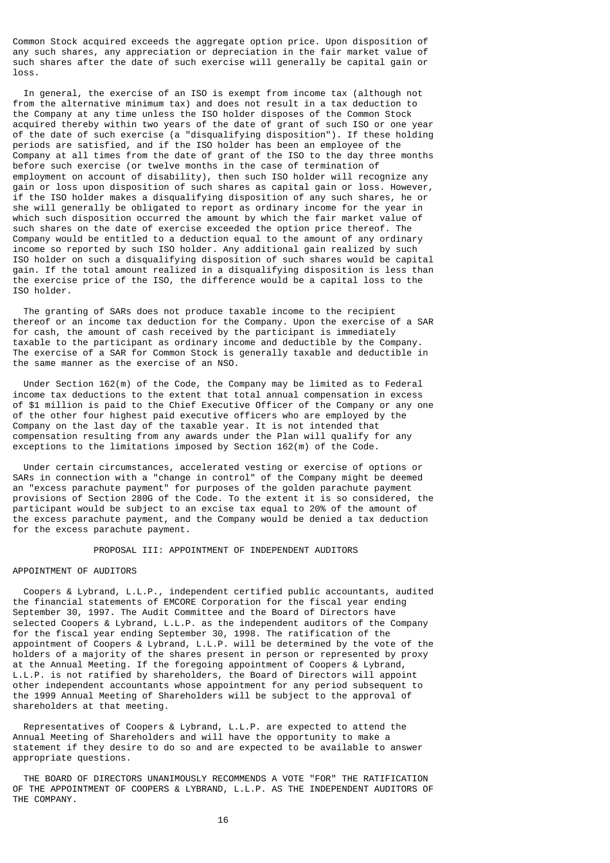Common Stock acquired exceeds the aggregate option price. Upon disposition of any such shares, any appreciation or depreciation in the fair market value of such shares after the date of such exercise will generally be capital gain or loss.

 In general, the exercise of an ISO is exempt from income tax (although not from the alternative minimum tax) and does not result in a tax deduction to the Company at any time unless the ISO holder disposes of the Common Stock acquired thereby within two years of the date of grant of such ISO or one year of the date of such exercise (a "disqualifying disposition"). If these holding periods are satisfied, and if the ISO holder has been an employee of the Company at all times from the date of grant of the ISO to the day three months before such exercise (or twelve months in the case of termination of employment on account of disability), then such ISO holder will recognize any gain or loss upon disposition of such shares as capital gain or loss. However, if the ISO holder makes a disqualifying disposition of any such shares, he or she will generally be obligated to report as ordinary income for the year in which such disposition occurred the amount by which the fair market value of such shares on the date of exercise exceeded the option price thereof. The Company would be entitled to a deduction equal to the amount of any ordinary income so reported by such ISO holder. Any additional gain realized by such ISO holder on such a disqualifying disposition of such shares would be capital gain. If the total amount realized in a disqualifying disposition is less than the exercise price of the ISO, the difference would be a capital loss to the ISO holder.

 The granting of SARs does not produce taxable income to the recipient thereof or an income tax deduction for the Company. Upon the exercise of a SAR for cash, the amount of cash received by the participant is immediately taxable to the participant as ordinary income and deductible by the Company. The exercise of a SAR for Common Stock is generally taxable and deductible in the same manner as the exercise of an NSO.

 Under Section 162(m) of the Code, the Company may be limited as to Federal income tax deductions to the extent that total annual compensation in excess of \$1 million is paid to the Chief Executive Officer of the Company or any one of the other four highest paid executive officers who are employed by the Company on the last day of the taxable year. It is not intended that compensation resulting from any awards under the Plan will qualify for any exceptions to the limitations imposed by Section 162(m) of the Code.

 Under certain circumstances, accelerated vesting or exercise of options or SARs in connection with a "change in control" of the Company might be deemed an "excess parachute payment" for purposes of the golden parachute payment provisions of Section 280G of the Code. To the extent it is so considered, the participant would be subject to an excise tax equal to 20% of the amount of the excess parachute payment, and the Company would be denied a tax deduction for the excess parachute payment.

### PROPOSAL III: APPOINTMENT OF INDEPENDENT AUDITORS

# APPOINTMENT OF AUDITORS

 Coopers & Lybrand, L.L.P., independent certified public accountants, audited the financial statements of EMCORE Corporation for the fiscal year ending September 30, 1997. The Audit Committee and the Board of Directors have selected Coopers & Lybrand, L.L.P. as the independent auditors of the Company for the fiscal year ending September 30, 1998. The ratification of the appointment of Coopers & Lybrand, L.L.P. will be determined by the vote of the holders of a majority of the shares present in person or represented by proxy at the Annual Meeting. If the foregoing appointment of Coopers & Lybrand, L.L.P. is not ratified by shareholders, the Board of Directors will appoint other independent accountants whose appointment for any period subsequent to the 1999 Annual Meeting of Shareholders will be subject to the approval of shareholders at that meeting.

 Representatives of Coopers & Lybrand, L.L.P. are expected to attend the Annual Meeting of Shareholders and will have the opportunity to make a statement if they desire to do so and are expected to be available to answer appropriate questions.

 THE BOARD OF DIRECTORS UNANIMOUSLY RECOMMENDS A VOTE "FOR" THE RATIFICATION OF THE APPOINTMENT OF COOPERS & LYBRAND, L.L.P. AS THE INDEPENDENT AUDITORS OF THE COMPANY.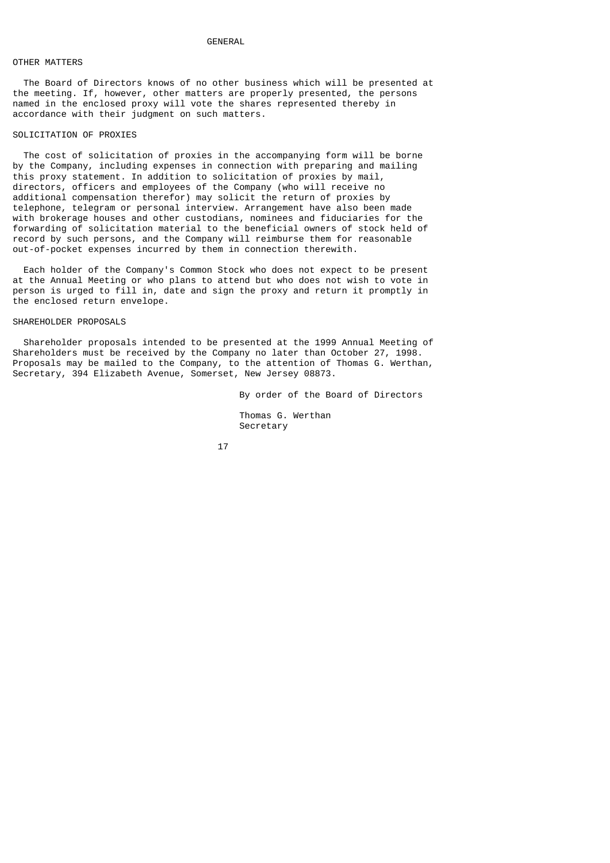### GENERAL

# OTHER MATTERS

 The Board of Directors knows of no other business which will be presented at the meeting. If, however, other matters are properly presented, the persons named in the enclosed proxy will vote the shares represented thereby in accordance with their judgment on such matters.

### SOLICITATION OF PROXIES

 The cost of solicitation of proxies in the accompanying form will be borne by the Company, including expenses in connection with preparing and mailing this proxy statement. In addition to solicitation of proxies by mail, directors, officers and employees of the Company (who will receive no additional compensation therefor) may solicit the return of proxies by telephone, telegram or personal interview. Arrangement have also been made with brokerage houses and other custodians, nominees and fiduciaries for the forwarding of solicitation material to the beneficial owners of stock held of record by such persons, and the Company will reimburse them for reasonable out-of-pocket expenses incurred by them in connection therewith.

 Each holder of the Company's Common Stock who does not expect to be present at the Annual Meeting or who plans to attend but who does not wish to vote in person is urged to fill in, date and sign the proxy and return it promptly in the enclosed return envelope.

### SHAREHOLDER PROPOSALS

 Shareholder proposals intended to be presented at the 1999 Annual Meeting of Shareholders must be received by the Company no later than October 27, 1998. Proposals may be mailed to the Company, to the attention of Thomas G. Werthan, Secretary, 394 Elizabeth Avenue, Somerset, New Jersey 08873.

By order of the Board of Directors

 Thomas G. Werthan Secretary

<u>17</u>